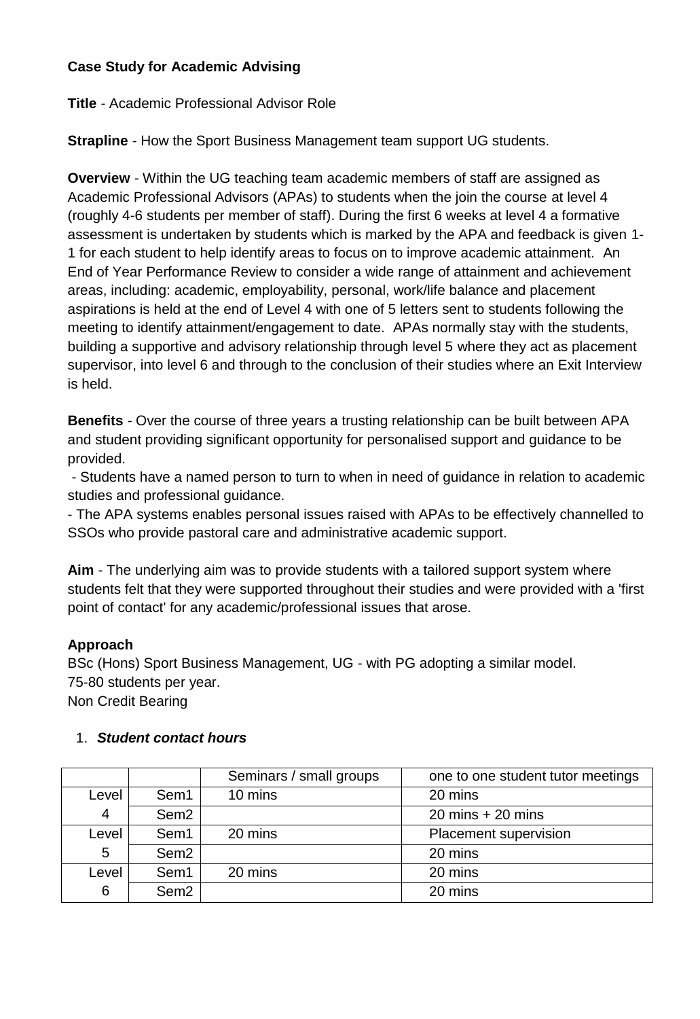# **Case Study for Academic Advising**

**Title** *-* Academic Professional Advisor Role

**Strapline** *-* How the Sport Business Management team support UG students.

**Overview** - Within the UG teaching team academic members of staff are assigned as Academic Professional Advisors (APAs) to students when the join the course at level 4 (roughly 4-6 students per member of staff). During the first 6 weeks at level 4 a formative assessment is undertaken by students which is marked by the APA and feedback is given 1- 1 for each student to help identify areas to focus on to improve academic attainment. An End of Year Performance Review to consider a wide range of attainment and achievement areas, including: academic, employability, personal, work/life balance and placement aspirations is held at the end of Level 4 with one of 5 letters sent to students following the meeting to identify attainment/engagement to date. APAs normally stay with the students, building a supportive and advisory relationship through level 5 where they act as placement supervisor, into level 6 and through to the conclusion of their studies where an Exit Interview is held.

**Benefits** *-* Over the course of three years a trusting relationship can be built between APA and student providing significant opportunity for personalised support and guidance to be provided.

- Students have a named person to turn to when in need of guidance in relation to academic studies and professional guidance.

- The APA systems enables personal issues raised with APAs to be effectively channelled to SSOs who provide pastoral care and administrative academic support.

**Aim** - The underlying aim was to provide students with a tailored support system where students felt that they were supported throughout their studies and were provided with a 'first point of contact' for any academic/professional issues that arose.

## **Approach**

BSc (Hons) Sport Business Management, UG - with PG adopting a similar model. 75-80 students per year.

Non Credit Bearing

## 1. *Student contact hours*

|                |                  | Seminars / small groups | one to one student tutor meetings   |
|----------------|------------------|-------------------------|-------------------------------------|
| Level          | Sem1             | 10 mins                 | 20 mins                             |
| $\overline{4}$ | Sem <sub>2</sub> |                         | $20 \text{ mins} + 20 \text{ mins}$ |
| Level          | Sem1             | 20 mins                 | Placement supervision               |
| 5              | Sem <sub>2</sub> |                         | 20 mins                             |
| Level          | Sem1             | 20 mins                 | 20 mins                             |
| 6              | Sem <sub>2</sub> |                         | 20 mins                             |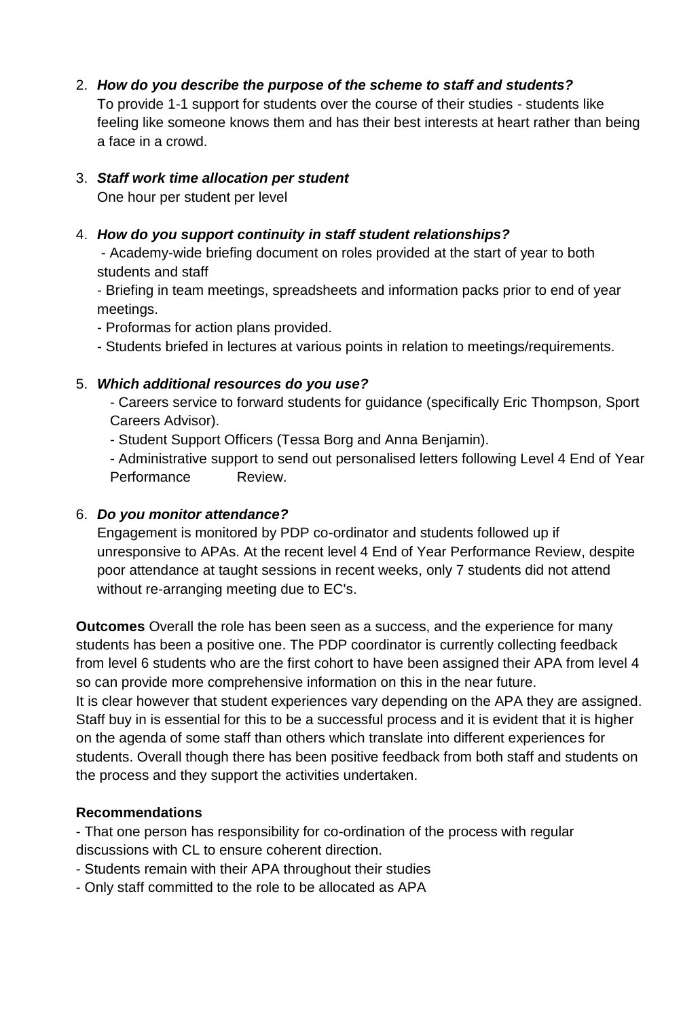# 2. *How do you describe the purpose of the scheme to staff and students?*

To provide 1-1 support for students over the course of their studies - students like feeling like someone knows them and has their best interests at heart rather than being a face in a crowd.

#### 3. *Staff work time allocation per student* One hour per student per level

# 4. *How do you support continuity in staff student relationships?*

- Academy-wide briefing document on roles provided at the start of year to both students and staff

- Briefing in team meetings, spreadsheets and information packs prior to end of year meetings.

- Proformas for action plans provided.
- Students briefed in lectures at various points in relation to meetings/requirements.

# 5. *Which additional resources do you use?*

- Careers service to forward students for guidance (specifically Eric Thompson, Sport Careers Advisor).
- Student Support Officers (Tessa Borg and Anna Benjamin).

- Administrative support to send out personalised letters following Level 4 End of Year Performance Review.

## 6. *Do you monitor attendance?*

Engagement is monitored by PDP co-ordinator and students followed up if unresponsive to APAs. At the recent level 4 End of Year Performance Review, despite poor attendance at taught sessions in recent weeks, only 7 students did not attend without re-arranging meeting due to EC's.

**Outcomes** Overall the role has been seen as a success, and the experience for many students has been a positive one. The PDP coordinator is currently collecting feedback from level 6 students who are the first cohort to have been assigned their APA from level 4 so can provide more comprehensive information on this in the near future. It is clear however that student experiences vary depending on the APA they are assigned. Staff buy in is essential for this to be a successful process and it is evident that it is higher on the agenda of some staff than others which translate into different experiences for students. Overall though there has been positive feedback from both staff and students on the process and they support the activities undertaken.

## **Recommendations**

- That one person has responsibility for co-ordination of the process with regular discussions with CL to ensure coherent direction.

- Students remain with their APA throughout their studies
- Only staff committed to the role to be allocated as APA